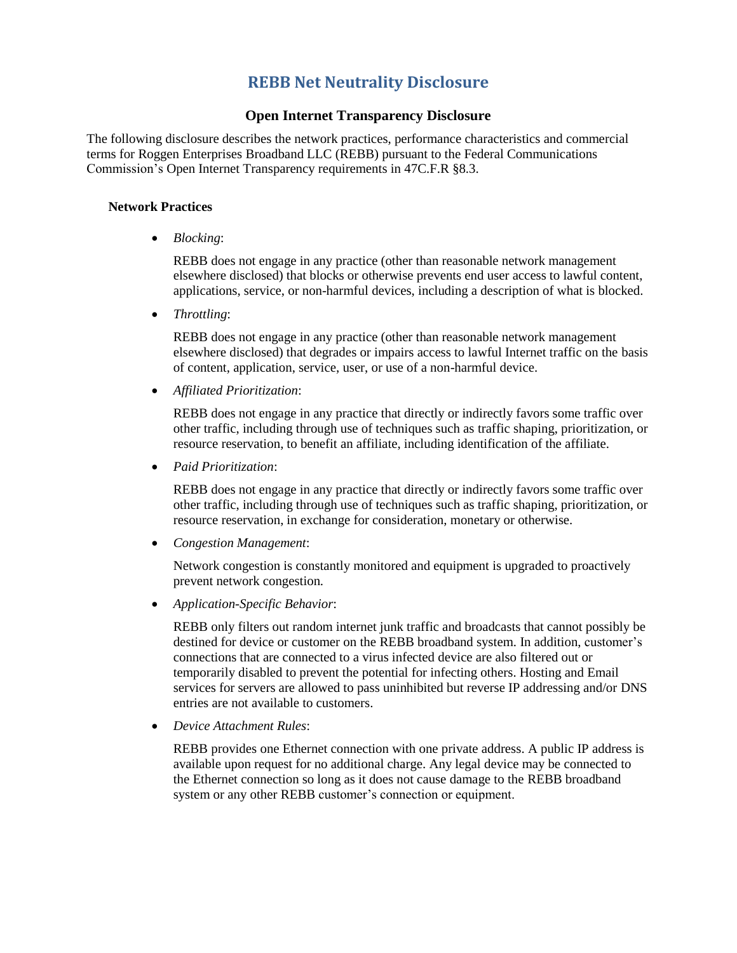# **REBB Net Neutrality Disclosure**

### **Open Internet Transparency Disclosure**

The following disclosure describes the network practices, performance characteristics and commercial terms for Roggen Enterprises Broadband LLC (REBB) pursuant to the Federal Communications Commission's Open Internet Transparency requirements in 47C.F.R §8.3.

#### **Network Practices**

*Blocking*:

REBB does not engage in any practice (other than reasonable network management elsewhere disclosed) that blocks or otherwise prevents end user access to lawful content, applications, service, or non-harmful devices, including a description of what is blocked.

*Throttling*:

REBB does not engage in any practice (other than reasonable network management elsewhere disclosed) that degrades or impairs access to lawful Internet traffic on the basis of content, application, service, user, or use of a non-harmful device.

*Affiliated Prioritization*:

REBB does not engage in any practice that directly or indirectly favors some traffic over other traffic, including through use of techniques such as traffic shaping, prioritization, or resource reservation, to benefit an affiliate, including identification of the affiliate.

*Paid Prioritization*:

REBB does not engage in any practice that directly or indirectly favors some traffic over other traffic, including through use of techniques such as traffic shaping, prioritization, or resource reservation, in exchange for consideration, monetary or otherwise.

*Congestion Management*:

Network congestion is constantly monitored and equipment is upgraded to proactively prevent network congestion.

*Application-Specific Behavior*:

REBB only filters out random internet junk traffic and broadcasts that cannot possibly be destined for device or customer on the REBB broadband system. In addition, customer's connections that are connected to a virus infected device are also filtered out or temporarily disabled to prevent the potential for infecting others. Hosting and Email services for servers are allowed to pass uninhibited but reverse IP addressing and/or DNS entries are not available to customers.

*Device Attachment Rules*:

REBB provides one Ethernet connection with one private address. A public IP address is available upon request for no additional charge. Any legal device may be connected to the Ethernet connection so long as it does not cause damage to the REBB broadband system or any other REBB customer's connection or equipment.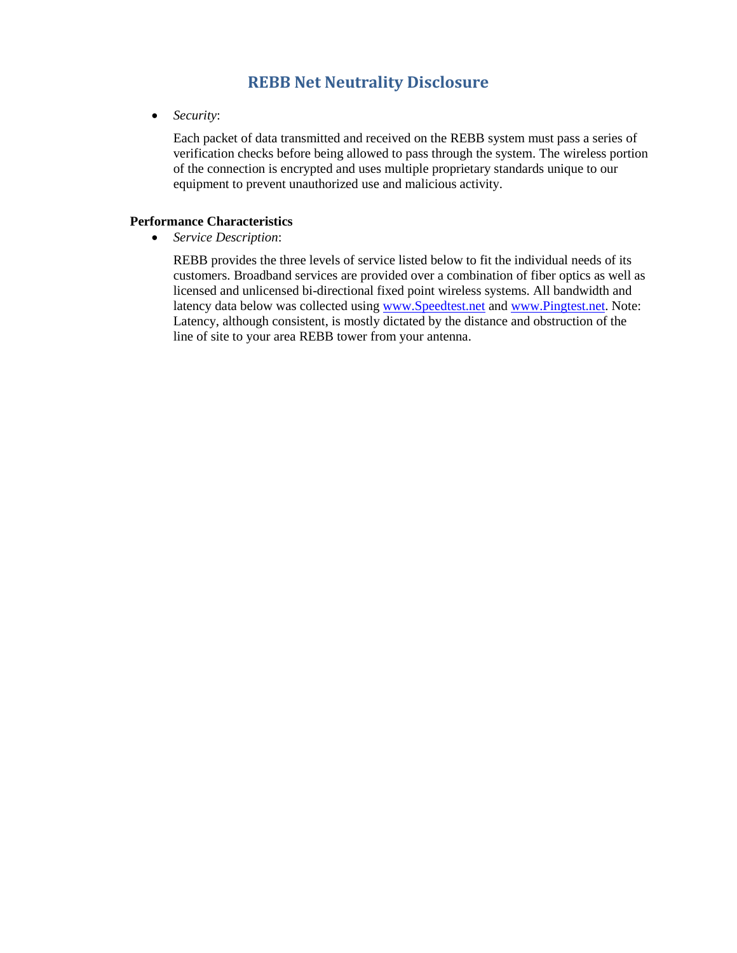## **REBB Net Neutrality Disclosure**

*Security*:

Each packet of data transmitted and received on the REBB system must pass a series of verification checks before being allowed to pass through the system. The wireless portion of the connection is encrypted and uses multiple proprietary standards unique to our equipment to prevent unauthorized use and malicious activity.

### **Performance Characteristics**

*Service Description*:

REBB provides the three levels of service listed below to fit the individual needs of its customers. Broadband services are provided over a combination of fiber optics as well as licensed and unlicensed bi-directional fixed point wireless systems. All bandwidth and latency data below was collected using [www.Speedtest.net](http://www.speedtest.net/) and [www.Pingtest.net.](http://www.pingtest.net/) Note: Latency, although consistent, is mostly dictated by the distance and obstruction of the line of site to your area REBB tower from your antenna.